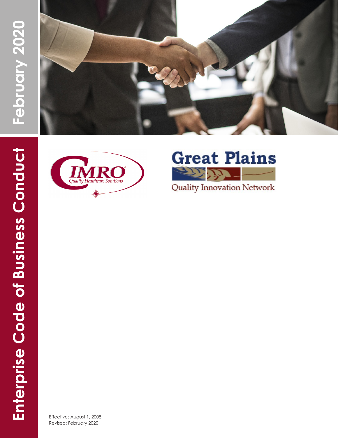





**Quality Innovation Network** 

Effective: August 1, 2008 Revised: February 2020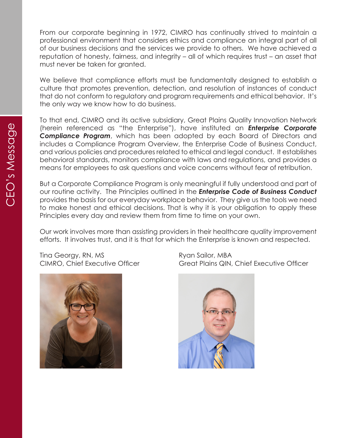From our corporate beginning in 1972, CIMRO has continually strived to maintain a professional environment that considers ethics and compliance an integral part of all of our business decisions and the services we provide to others. We have achieved a reputation of honesty, fairness, and integrity – all of which requires trust – an asset that must never be taken for granted.

We believe that compliance efforts must be fundamentally designed to establish a culture that promotes prevention, detection, and resolution of instances of conduct that do not conform to regulatory and program requirements and ethical behavior. It's the only way we know how to do business.

To that end, CIMRO and its active subsidiary, Great Plains Quality Innovation Network (herein referenced as "the Enterprise"), have instituted an *Enterprise Corporate Compliance Program*, which has been adopted by each Board of Directors and includes a Compliance Program Overview, the Enterprise Code of Business Conduct, and various policies and procedures related to ethical and legal conduct. It establishes behavioral standards, monitors compliance with laws and regulations, and provides a means for employees to ask questions and voice concerns without fear of retribution.

But a Corporate Compliance Program is only meaningful if fully understood and part of our routine activity. The Principles outlined in the *Enterprise Code of Business Conduct* provides the basis for our everyday workplace behavior. They give us the tools we need to make honest and ethical decisions. That is why it is your obligation to apply these Principles every day and review them from time to time on your own.

Our work involves more than assisting providers in their healthcare quality improvement efforts. It involves trust, and it is that for which the Enterprise is known and respected.

Tina Georgy, RN, MS Ryan Sailor, MBA



CIMRO, Chief Executive Officer Great Plains QIN, Chief Executive Officer

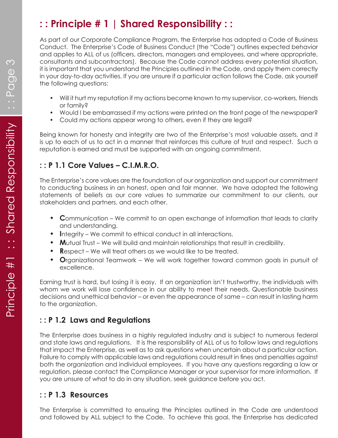# **: : Principle # 1 | Shared Responsibility : :**

As part of our Corporate Compliance Program, the Enterprise has adopted a Code of Business Conduct. The Enterprise's Code of Business Conduct (the "Code") outlines expected behavior and applies to ALL of us (officers, directors, managers and employees, and where appropriate, consultants and subcontractors). Because the Code cannot address every potential situation, it is important that you understand the Principles outlined in the Code, and apply them correctly in your day-to-day activities. If you are unsure if a particular action follows the Code, ask yourself the following questions:

- Will it hurt my reputation if my actions become known to my supervisor, co-workers, friends or family?
- Would I be embarrassed if my actions were printed on the front page of the newspaper?
- Could my actions appear wrong to others, even if they are legal?

Being known for honesty and integrity are two of the Enterprise's most valuable assets, and it is up to each of us to act in a manner that reinforces this culture of trust and respect. Such a reputation is earned and must be supported with an ongoing commitment.

#### **: : P 1.1 Core Values – C.I.M.R.O.**

The Enterprise's core values are the foundation of our organization and support our commitment to conducting business in an honest, open and fair manner. We have adopted the following statements of beliefs as our core values to summarize our commitment to our clients, our stakeholders and partners, and each other.

- **• C**ommunication We commit to an open exchange of information that leads to clarity and understanding.
- **• I**ntegrity We commit to ethical conduct in all interactions.
- **• M**utual Trust We will build and maintain relationships that result in credibility.
- **• R**espect We will treat others as we would like to be treated.
- **• O**rganizational Teamwork We will work together toward common goals in pursuit of excellence.

Earning trust is hard, but losing it is easy. If an organization isn't trustworthy, the individuals with whom we work will lose confidence in our ability to meet their needs. Questionable business decisions and unethical behavior – or even the appearance of same – can result in lasting harm to the organization.

#### **: : P 1.2 Laws and Regulations**

The Enterprise does business in a highly regulated industry and is subject to numerous federal and state laws and regulations. It is the responsibility of ALL of us to follow laws and regulations that impact the Enterprise, as well as to ask questions when uncertain about a particular action. Failure to comply with applicable laws and regulations could result in fines and penalties against both the organization and individual employees. If you have any questions regarding a law or regulation, please contact the Compliance Manager or your supervisor for more information. If you are unsure of what to do in any situation, seek guidance before you act.

## **: : P 1.3 Resources**

The Enterprise is committed to ensuring the Principles outlined in the Code are understood and followed by ALL subject to the Code. To achieve this goal, the Enterprise has dedicated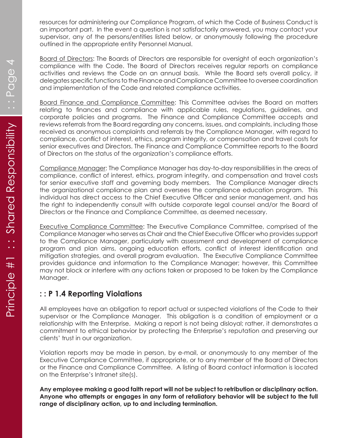resources for administering our Compliance Program, of which the Code of Business Conduct is an important part. In the event a question is not satisfactorily answered, you may contact your supervisor, any of the persons/entities listed below, or anonymously following the procedure outlined in the appropriate entity Personnel Manual.

Board of Directors: The Boards of Directors are responsible for oversight of each organization's compliance with the Code. The Board of Directors receives regular reports on compliance activities and reviews the Code on an annual basis. While the Board sets overall policy, it delegates specific functions to the Finance and Compliance Committee to oversee coordination and implementation of the Code and related compliance activities.

Board Finance and Compliance Committee: This Committee advises the Board on matters relating to finances and compliance with applicable rules, regulations, guidelines, and corporate policies and programs. The Finance and Compliance Committee accepts and reviews referrals from the Board regarding any concerns, issues, and complaints, including those received as anonymous complaints and referrals by the Compliance Manager, with regard to compliance, conflict of interest, ethics, program integrity, or compensation and travel costs for senior executives and Directors. The Finance and Compliance Committee reports to the Board of Directors on the status of the organization's compliance efforts.

Compliance Manager: The Compliance Manager has day-to-day responsibilities in the areas of compliance, conflict of interest, ethics, program integrity, and compensation and travel costs for senior executive staff and governing body members. The Compliance Manager directs the organizational compliance plan and oversees the compliance education program. This individual has direct access to the Chief Executive Officer and senior management, and has the right to independently consult with outside corporate legal counsel and/or the Board of Directors or the Finance and Compliance Committee, as deemed necessary.

Executive Compliance Committee: The Executive Compliance Committee, comprised of the Compliance Manager who serves as Chair and the Chief Executive Officer who provides support to the Compliance Manager, particularly with assessment and development of compliance program and plan aims, ongoing education efforts, conflict of interest identification and mitigation strategies, and overall program evaluation. The Executive Compliance Committee provides guidance and information to the Compliance Manager; however, this Committee may not block or interfere with any actions taken or proposed to be taken by the Compliance Manager.

#### **: : P 1.4 Reporting Violations**

All employees have an obligation to report actual or suspected violations of the Code to their supervisor or the Compliance Manager. This obligation is a condition of employment or a relationship with the Enterprise. Making a report is not being disloyal; rather, it demonstrates a commitment to ethical behavior by protecting the Enterprise's reputation and preserving our clients' trust in our organization.

Violation reports may be made in person, by e-mail, or anonymously to any member of the Executive Compliance Committee, if appropriate, or to any member of the Board of Directors or the Finance and Compliance Committee. A listing of Board contact information is located on the Enterprise's Intranet site(s).

**Any employee making a good faith report will not be subject to retribution or disciplinary action. Anyone who attempts or engages in any form of retaliatory behavior will be subject to the full range of disciplinary action, up to and including termination.**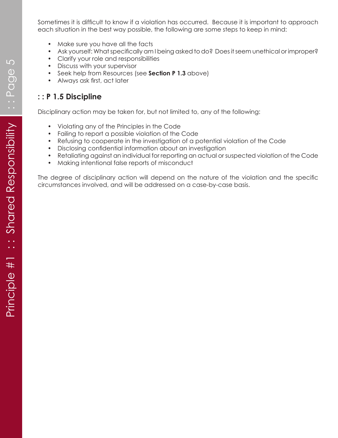Sometimes it is difficult to know if a violation has occurred. Because it is important to approach each situation in the best way possible, the following are some steps to keep in mind:

- Make sure you have all the facts
- Ask yourself: What specifically am I being asked to do? Does it seem unethical or improper?
- Clarify your role and responsibilities
- Discuss with your supervisor
- Seek help from Resources (see **Section P 1.3** above)
- Always ask first, act later

### **: : P 1.5 Discipline**

Disciplinary action may be taken for, but not limited to, any of the following:

- Violating any of the Principles in the Code
- Failing to report a possible violation of the Code
- Refusing to cooperate in the investigation of a potential violation of the Code
- Disclosing confidential information about an investigation
- Retaliating against an individual for reporting an actual or suspected violation of the Code
- Making intentional false reports of misconduct

The degree of disciplinary action will depend on the nature of the violation and the specific circumstances involved, and will be addressed on a case-by-case basis.

 $\overline{5}$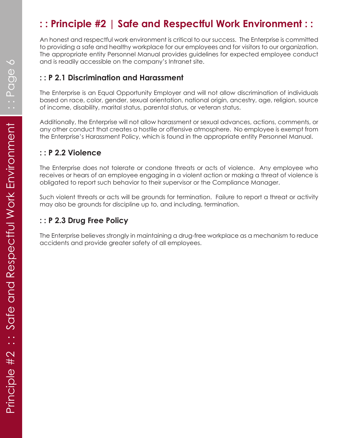## **: : Principle #2 | Safe and Respectful Work Environment : :**

An honest and respectful work environment is critical to our success. The Enterprise is committed to providing a safe and healthy workplace for our employees and for visitors to our organization. The appropriate entity Personnel Manual provides guidelines for expected employee conduct and is readily accessible on the company's Intranet site.

#### **: : P 2.1 Discrimination and Harassment**

The Enterprise is an Equal Opportunity Employer and will not allow discrimination of individuals based on race, color, gender, sexual orientation, national origin, ancestry, age, religion, source of income, disability, marital status, parental status, or veteran status.

Additionally, the Enterprise will not allow harassment or sexual advances, actions, comments, or any other conduct that creates a hostile or offensive atmosphere. No employee is exempt from the Enterprise's Harassment Policy, which is found in the appropriate entity Personnel Manual.

#### **: : P 2.2 Violence**

The Enterprise does not tolerate or condone threats or acts of violence. Any employee who receives or hears of an employee engaging in a violent action or making a threat of violence is obligated to report such behavior to their supervisor or the Compliance Manager.

Such violent threats or acts will be grounds for termination. Failure to report a threat or activity may also be grounds for discipline up to, and including, termination.

### **: : P 2.3 Drug Free Policy**

The Enterprise believes strongly in maintaining a drug-free workplace as a mechanism to reduce accidents and provide greater safety of all employees.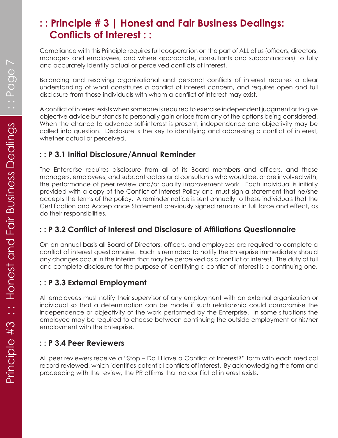## **: : Principle # 3 | Honest and Fair Business Dealings: Conflicts of Interest : :**

Compliance with this Principle requires full cooperation on the part of ALL of us (officers, directors, managers and employees, and where appropriate, consultants and subcontractors) to fully and accurately identify actual or perceived conflicts of interest.

Balancing and resolving organizational and personal conflicts of interest requires a clear understanding of what constitutes a conflict of interest concern, and requires open and full disclosure from those individuals with whom a conflict of interest may exist.

A conflict of interest exists when someone is required to exercise independent judgment or to give objective advice but stands to personally gain or lose from any of the options being considered. When the chance to advance self-interest is present, independence and objectivity may be called into question. Disclosure is the key to identifying and addressing a conflict of interest, whether actual or perceived.

## **: : P 3.1 Initial Disclosure/Annual Reminder**

The Enterprise requires disclosure from all of its Board members and officers, and those managers, employees, and subcontractors and consultants who would be, or are involved with, the performance of peer review and/or quality improvement work. Each individual is initially provided with a copy of the Conflict of Interest Policy and must sign a statement that he/she accepts the terms of the policy. A reminder notice is sent annually to these individuals that the Certification and Acceptance Statement previously signed remains in full force and effect, as do their responsibilities.

## **: : P 3.2 Conflict of Interest and Disclosure of Affiliations Questionnaire**

On an annual basis all Board of Directors, officers, and employees are required to complete a conflict of interest questionnaire. Each is reminded to notify the Enterprise immediately should any changes occur in the interim that may be perceived as a conflict of interest. The duty of full and complete disclosure for the purpose of identifying a conflict of interest is a continuing one.

## **: : P 3.3 External Employment**

All employees must notify their supervisor of any employment with an external organization or individual so that a determination can be made if such relationship could compromise the independence or objectivity of the work performed by the Enterprise. In some situations the employee may be required to choose between continuing the outside employment or his/her employment with the Enterprise.

#### **: : P 3.4 Peer Reviewers**

All peer reviewers receive a "Stop – Do I Have a Conflict of Interest?" form with each medical record reviewed, which identifies potential conflicts of interest. By acknowledging the form and proceeding with the review, the PR affirms that no conflict of interest exists.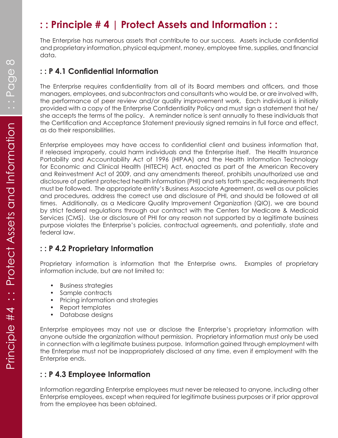## **: : Principle # 4 | Protect Assets and Information : :**

The Enterprise has numerous assets that contribute to our success. Assets include confidential and proprietary information, physical equipment, money, employee time, supplies, and financial data.

#### **: : P 4.1 Confidential Information**

The Enterprise requires confidentiality from all of its Board members and officers, and those managers, employees, and subcontractors and consultants who would be, or are involved with, the performance of peer review and/or quality improvement work. Each individual is initially provided with a copy of the Enterprise Confidentiality Policy and must sign a statement that he/ she accepts the terms of the policy. A reminder notice is sent annually to these individuals that the Certification and Acceptance Statement previously signed remains in full force and effect, as do their responsibilities.

Enterprise employees may have access to confidential client and business information that, if released improperly, could harm individuals and the Enterprise itself. The Health Insurance Portability and Accountability Act of 1996 (HIPAA) and the Health Information Technology for Economic and Clinical Health (HITECH) Act, enacted as part of the American Recovery and Reinvestment Act of 2009, and any amendments thereof, prohibits unauthorized use and disclosure of patient protected health information (PHI) and sets forth specific requirements that must be followed. The appropriate entity's Business Associate Agreement, as well as our policies and procedures, address the correct use and disclosure of PHI, and should be followed at all times. Additionally, as a Medicare Quality Improvement Organization (QIO), we are bound by strict federal regulations through our contract with the Centers for Medicare & Medicaid Services (CMS). Use or disclosure of PHI for any reason not supported by a legitimate business purpose violates the Enterprise's policies, contractual agreements, and potentially, state and federal law.

## **: : P 4.2 Proprietary Information**

Proprietary information is information that the Enterprise owns. Examples of proprietary information include, but are not limited to:

- Business strategies
- Sample contracts
- Pricing information and strategies
- Report templates
- Database designs

Enterprise employees may not use or disclose the Enterprise's proprietary information with anyone outside the organization without permission. Proprietary information must only be used in connection with a legitimate business purpose. Information gained through employment with the Enterprise must not be inappropriately disclosed at any time, even if employment with the Enterprise ends.

#### **: : P 4.3 Employee Information**

Information regarding Enterprise employees must never be released to anyone, including other Enterprise employees, except when required for legitimate business purposes or if prior approval from the employee has been obtained.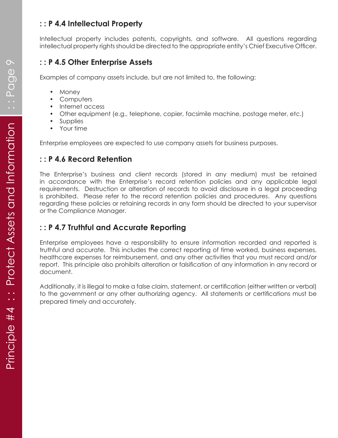#### **: : P 4.4 Intellectual Property**

Intellectual property includes patents, copyrights, and software. All questions regarding intellectual property rights should be directed to the appropriate entity's Chief Executive Officer.

#### **: : P 4.5 Other Enterprise Assets**

Examples of company assets include, but are not limited to, the following:

- Money
- Computers
- Internet access
- Other equipment (e.g., telephone, copier, facsimile machine, postage meter, etc.)
- Supplies
- Your time

Enterprise employees are expected to use company assets for business purposes.

#### **: : P 4.6 Record Retention**

The Enterprise's business and client records (stored in any medium) must be retained in accordance with the Enterprise's record retention policies and any applicable legal requirements. Destruction or alteration of records to avoid disclosure in a legal proceeding is prohibited. Please refer to the record retention policies and procedures. Any questions regarding these policies or retaining records in any form should be directed to your supervisor or the Compliance Manager.

## **: : P 4.7 Truthful and Accurate Reporting**

Enterprise employees have a responsibility to ensure information recorded and reported is truthful and accurate. This includes the correct reporting of time worked, business expenses, healthcare expenses for reimbursement, and any other activities that you must record and/or report. This principle also prohibits alteration or falsification of any information in any record or document.

Additionally, it is illegal to make a false claim, statement, or certification (either written or verbal) to the government or any other authorizing agency. All statements or certifications must be prepared timely and accurately.

 $\infty$